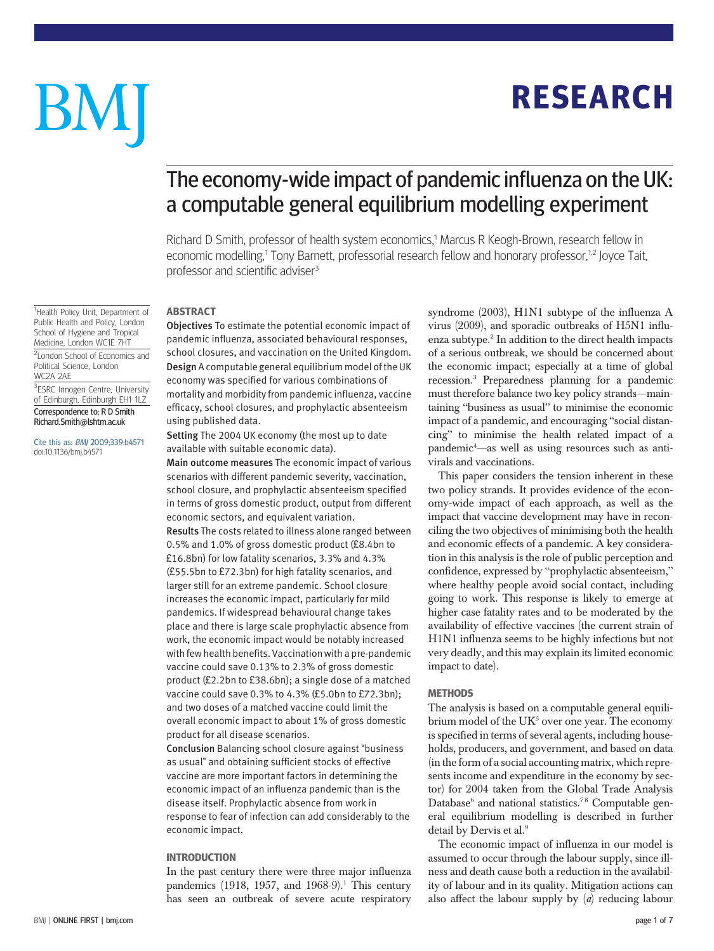# **RESEARCH** RESEARCH

# BM

# The economy-wide impact of pandemic influenza on the UK: a computable general equilibrium modelling experiment

Richard D Smith, professor of health system economics,1 Marcus R Keogh-Brown, research fellow in economic modelling,<sup>1</sup> Tony Barnett, professorial research fellow and honorary professor,<sup>1,2</sup> Joyce Tait, professor and scientific adviser<sup>3</sup>

# **ABSTRACT**

<sup>1</sup>Health Policy Unit, Department of Public Health and Policy, London School of Hygiene and Tropical Medicine, London WC1E 7HT

<sup>2</sup> London School of Economics and Political Science, London WC2A 2AE

# <sup>3</sup>ESRC Innogen Centre, University of Edinburgh, Edinburgh EH1 1LZ Correspondence to: R D Smith

Richard.Smith@lshtm.ac.uk

Cite this as: BMJ 2009;339:b4571 doi:10.1136/bmj.b4571

-----------<br>Objectives To estimate the potential economic impact of pandemic influenza, associated behavioural responses, school closures, and vaccination on the United Kingdom. Design A computable general equilibrium model of the UK economy was specified for various combinations of mortality and morbidity from pandemic influenza, vaccine efficacy, school closures, and prophylactic absenteeism using published data.

Setting The 2004 UK economy (the most up to date available with suitable economic data).

Main outcome measures The economic impact of various scenarios with different pandemic severity, vaccination, school closure, and prophylactic absenteeism specified in terms of gross domestic product, output from different economic sectors, and equivalent variation. Results The costs related to illness alone ranged between 0.5% and 1.0% of gross domestic product (£8.4bn to £16.8bn) for low fatality scenarios, 3.3% and 4.3% (£55.5bn to £72.3bn) for high fatality scenarios, and larger still for an extreme pandemic. School closure increases the economic impact, particularly for mild pandemics. If widespread behavioural change takes place and there is large scale prophylactic absence from work, the economic impact would be notably increased with few health benefits. Vaccination with a pre-pandemic vaccine could save 0.13% to 2.3% of gross domestic product (£2.2bn to £38.6bn); a single dose of a matched vaccine could save 0.3% to 4.3% (£5.0bn to £72.3bn); and two doses of a matched vaccine could limit the overall economic impact to about 1% of gross domestic product for all disease scenarios.

Conclusion Balancing school closure against "business as usual" and obtaining sufficient stocks of effective vaccine are more important factors in determining the economic impact of an influenza pandemic than is the disease itself. Prophylactic absence from work in response to fear of infection can add considerably to the economic impact.

In the past century there were three major influenza pandemics (1918, 1957, and 1968-9).<sup>1</sup> This century has seen an outbreak of severe acute respiratory syndrome (2003), H1N1 subtype of the influenza A virus (2009), and sporadic outbreaks of H5N1 influenza subtype.2 In addition to the direct health impacts of a serious outbreak, we should be concerned about the economic impact; especially at a time of global recession.3 Preparedness planning for a pandemic must therefore balance two key policy strands—maintaining "business as usual" to minimise the economic impact of a pandemic, and encouraging "social distancing" to minimise the health related impact of a pandemic4 —as well as using resources such as antivirals and vaccinations.

This paper considers the tension inherent in these two policy strands. It provides evidence of the economy-wide impact of each approach, as well as the impact that vaccine development may have in reconciling the two objectives of minimising both the health and economic effects of a pandemic. A key consideration in this analysis is the role of public perception and confidence, expressed by "prophylactic absenteeism," where healthy people avoid social contact, including going to work. This response is likely to emerge at higher case fatality rates and to be moderated by the availability of effective vaccines (the current strain of H1N1 influenza seems to be highly infectious but not very deadly, and this may explain its limited economic impact to date).

# **METHODS**

The analysis is based on a computable general equilibrium model of the  $UK<sup>5</sup>$  over one year. The economy is specified in terms of several agents, including households, producers, and government, and based on data (in the form of a social accounting matrix, which represents income and expenditure in the economy by sector) for 2004 taken from the Global Trade Analysis Database<sup>6</sup> and national statistics.<sup>78</sup> Computable general equilibrium modelling is described in further detail by Dervis et al.<sup>9</sup>

The economic impact of influenza in our model is assumed to occur through the labour supply, since illness and death cause both a reduction in the availability of labour and in its quality. Mitigation actions can also affect the labour supply by  $(a)$  reducing labour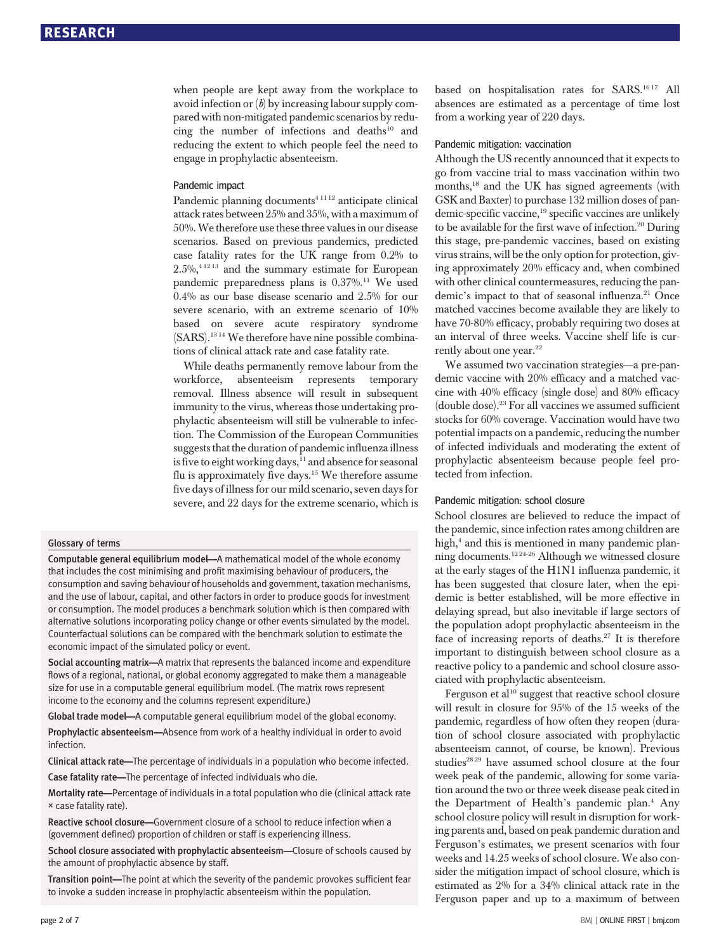when people are kept away from the workplace to avoid infection or  $(b)$  by increasing labour supply compared with non-mitigated pandemic scenarios by reducing the number of infections and deaths $10$  and reducing the extent to which people feel the need to engage in prophylactic absenteeism.

# Pandemic impact

Pandemic planning documents<sup>41112</sup> anticipate clinical attack rates between 25% and 35%, with a maximum of 50%.We therefore use these three values in our disease scenarios. Based on previous pandemics, predicted case fatality rates for the UK range from 0.2% to  $2.5\%$ ,  $4^{12}$ <sup>13</sup> and the summary estimate for European pandemic preparedness plans is 0.37%.<sup>11</sup> We used 0.4% as our base disease scenario and 2.5% for our severe scenario, with an extreme scenario of 10% based on severe acute respiratory syndrome (SARS).13 14 We therefore have nine possible combinations of clinical attack rate and case fatality rate.

While deaths permanently remove labour from the workforce, absenteeism represents temporary removal. Illness absence will result in subsequent immunity to the virus, whereas those undertaking prophylactic absenteeism will still be vulnerable to infection. The Commission of the European Communities suggests that the duration of pandemic influenza illness is five to eight working days, $^{11}$  and absence for seasonal flu is approximately five days.15 We therefore assume five days of illness for our mild scenario, seven days for severe, and 22 days for the extreme scenario, which is

# Glossary of terms

Computable general equilibrium model—A mathematical model of the whole economy that includes the cost minimising and profit maximising behaviour of producers, the consumption and saving behaviour of households and government, taxation mechanisms, and the use of labour, capital, and other factors in order to produce goods for investment or consumption. The model produces a benchmark solution which is then compared with alternative solutions incorporating policy change or other events simulated by the model. Counterfactual solutions can be compared with the benchmark solution to estimate the economic impact of the simulated policy or event.

Social accounting matrix—A matrix that represents the balanced income and expenditure flows of a regional, national, or global economy aggregated to make them a manageable size for use in a computable general equilibrium model. (The matrix rows represent income to the economy and the columns represent expenditure.)

Global trade model—A computable general equilibrium model of the global economy.

Prophylactic absenteeism—Absence from work of a healthy individual in order to avoid infection.

Clinical attack rate—The percentage of individuals in a population who become infected. Case fatality rate—The percentage of infected individuals who die.

Mortality rate—Percentage of individuals in a total population who die (clinical attack rate × case fatality rate).

Reactive school closure—Government closure of a school to reduce infection when a (government defined) proportion of children or staff is experiencing illness.

School closure associated with prophylactic absenteeism—Closure of schools caused by the amount of prophylactic absence by staff.

Transition point—The point at which the severity of the pandemic provokes sufficient fear to invoke a sudden increase in prophylactic absenteeism within the population.

based on hospitalisation rates for SARS.<sup>1617</sup> All absences are estimated as a percentage of time lost from a working year of 220 days.

# Pandemic mitigation: vaccination

Although the US recently announced that it expects to go from vaccine trial to mass vaccination within two months,18 and the UK has signed agreements (with GSK and Baxter) to purchase 132 million doses of pandemic-specific vaccine,<sup>19</sup> specific vaccines are unlikely to be available for the first wave of infection.20 During this stage, pre-pandemic vaccines, based on existing virus strains, will be the only option for protection, giving approximately 20% efficacy and, when combined with other clinical countermeasures, reducing the pandemic's impact to that of seasonal influenza.<sup>21</sup> Once matched vaccines become available they are likely to have 70-80% efficacy, probably requiring two doses at an interval of three weeks. Vaccine shelf life is currently about one year.<sup>22</sup>

We assumed two vaccination strategies—a pre-pandemic vaccine with 20% efficacy and a matched vaccine with 40% efficacy (single dose) and 80% efficacy (double dose).23 For all vaccines we assumed sufficient stocks for 60% coverage. Vaccination would have two potential impacts on a pandemic, reducing the number of infected individuals and moderating the extent of prophylactic absenteeism because people feel protected from infection.

# Pandemic mitigation: school closure

School closures are believed to reduce the impact of the pandemic, since infection rates among children are high,<sup>4</sup> and this is mentioned in many pandemic planning documents.12 24-26 Although we witnessed closure at the early stages of the H1N1 influenza pandemic, it has been suggested that closure later, when the epidemic is better established, will be more effective in delaying spread, but also inevitable if large sectors of the population adopt prophylactic absenteeism in the face of increasing reports of deaths. $27$  It is therefore important to distinguish between school closure as a reactive policy to a pandemic and school closure associated with prophylactic absenteeism.

Ferguson et al<sup>10</sup> suggest that reactive school closure will result in closure for 95% of the 15 weeks of the pandemic, regardless of how often they reopen (duration of school closure associated with prophylactic absenteeism cannot, of course, be known). Previous studies<sup>2829</sup> have assumed school closure at the four week peak of the pandemic, allowing for some variation around the two or three week disease peak cited in the Department of Health's pandemic plan.<sup>4</sup> Any school closure policy will result in disruption for working parents and, based on peak pandemic duration and Ferguson's estimates, we present scenarios with four weeks and 14.25 weeks of school closure. We also consider the mitigation impact of school closure, which is estimated as 2% for a 34% clinical attack rate in the Ferguson paper and up to a maximum of between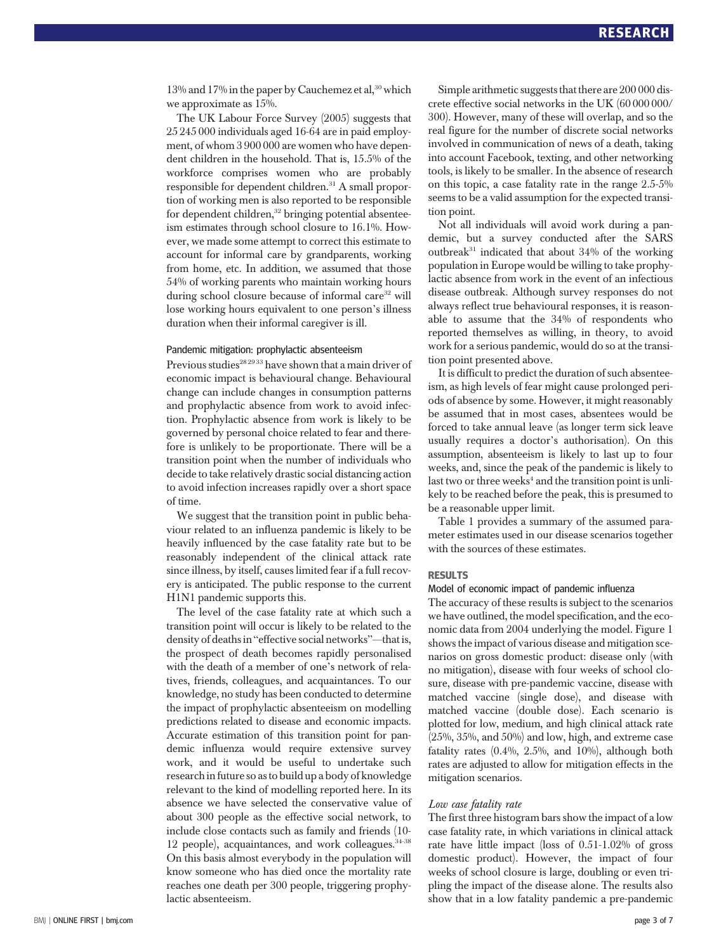13% and 17% in the paper by Cauchemez et al,<sup>30</sup> which we approximate as 15%.

The UK Labour Force Survey (2005) suggests that 25 245 000 individuals aged 16-64 are in paid employment, of whom 3 900 000 are women who have dependent children in the household. That is, 15.5% of the workforce comprises women who are probably responsible for dependent children.<sup>31</sup> A small proportion of working men is also reported to be responsible for dependent children, $32$  bringing potential absenteeism estimates through school closure to 16.1%. However, we made some attempt to correct this estimate to account for informal care by grandparents, working from home, etc. In addition, we assumed that those 54% of working parents who maintain working hours during school closure because of informal care<sup>32</sup> will lose working hours equivalent to one person's illness duration when their informal caregiver is ill.

# Pandemic mitigation: prophylactic absenteeism

Previous studies<sup>28 2933</sup> have shown that a main driver of economic impact is behavioural change. Behavioural change can include changes in consumption patterns and prophylactic absence from work to avoid infection. Prophylactic absence from work is likely to be governed by personal choice related to fear and therefore is unlikely to be proportionate. There will be a transition point when the number of individuals who decide to take relatively drastic social distancing action to avoid infection increases rapidly over a short space of time.

We suggest that the transition point in public behaviour related to an influenza pandemic is likely to be heavily influenced by the case fatality rate but to be reasonably independent of the clinical attack rate since illness, by itself, causes limited fear if a full recovery is anticipated. The public response to the current H1N1 pandemic supports this.

The level of the case fatality rate at which such a transition point will occur is likely to be related to the density of deaths in "effective social networks"—that is, the prospect of death becomes rapidly personalised with the death of a member of one's network of relatives, friends, colleagues, and acquaintances. To our knowledge, no study has been conducted to determine the impact of prophylactic absenteeism on modelling predictions related to disease and economic impacts. Accurate estimation of this transition point for pandemic influenza would require extensive survey work, and it would be useful to undertake such research in future so as to build up a body of knowledge relevant to the kind of modelling reported here. In its absence we have selected the conservative value of about 300 people as the effective social network, to include close contacts such as family and friends (10- 12 people), acquaintances, and work colleagues. $34-38$ On this basis almost everybody in the population will know someone who has died once the mortality rate reaches one death per 300 people, triggering prophylactic absenteeism.

Simple arithmetic suggests that there are 200 000 discrete effective social networks in the UK (60 000 000/ 300). However, many of these will overlap, and so the real figure for the number of discrete social networks involved in communication of news of a death, taking into account Facebook, texting, and other networking tools, is likely to be smaller. In the absence of research on this topic, a case fatality rate in the range 2.5-5% seems to be a valid assumption for the expected transition point.

Not all individuals will avoid work during a pandemic, but a survey conducted after the SARS outbreak $31$  indicated that about  $34%$  of the working population in Europe would be willing to take prophylactic absence from work in the event of an infectious disease outbreak. Although survey responses do not always reflect true behavioural responses, it is reasonable to assume that the 34% of respondents who reported themselves as willing, in theory, to avoid work for a serious pandemic, would do so at the transition point presented above.

It is difficult to predict the duration of such absenteeism, as high levels of fear might cause prolonged periods of absence by some. However, it might reasonably be assumed that in most cases, absentees would be forced to take annual leave (as longer term sick leave usually requires a doctor's authorisation). On this assumption, absenteeism is likely to last up to four weeks, and, since the peak of the pandemic is likely to last two or three weeks<sup>4</sup> and the transition point is unlikely to be reached before the peak, this is presumed to be a reasonable upper limit.

Table 1 provides a summary of the assumed parameter estimates used in our disease scenarios together with the sources of these estimates.

# **RESULTS**

# Model of economic impact of pandemic influenza

The accuracy of these results is subject to the scenarios we have outlined, the model specification, and the economic data from 2004 underlying the model. Figure 1 shows the impact of various disease and mitigation scenarios on gross domestic product: disease only (with no mitigation), disease with four weeks of school closure, disease with pre-pandemic vaccine, disease with matched vaccine (single dose), and disease with matched vaccine (double dose). Each scenario is plotted for low, medium, and high clinical attack rate (25%, 35%, and 50%) and low, high, and extreme case fatality rates (0.4%, 2.5%, and 10%), although both rates are adjusted to allow for mitigation effects in the mitigation scenarios.

The first three histogram bars show the impact of a low case fatality rate, in which variations in clinical attack rate have little impact (loss of 0.51-1.02% of gross domestic product). However, the impact of four weeks of school closure is large, doubling or even tripling the impact of the disease alone. The results also show that in a low fatality pandemic a pre-pandemic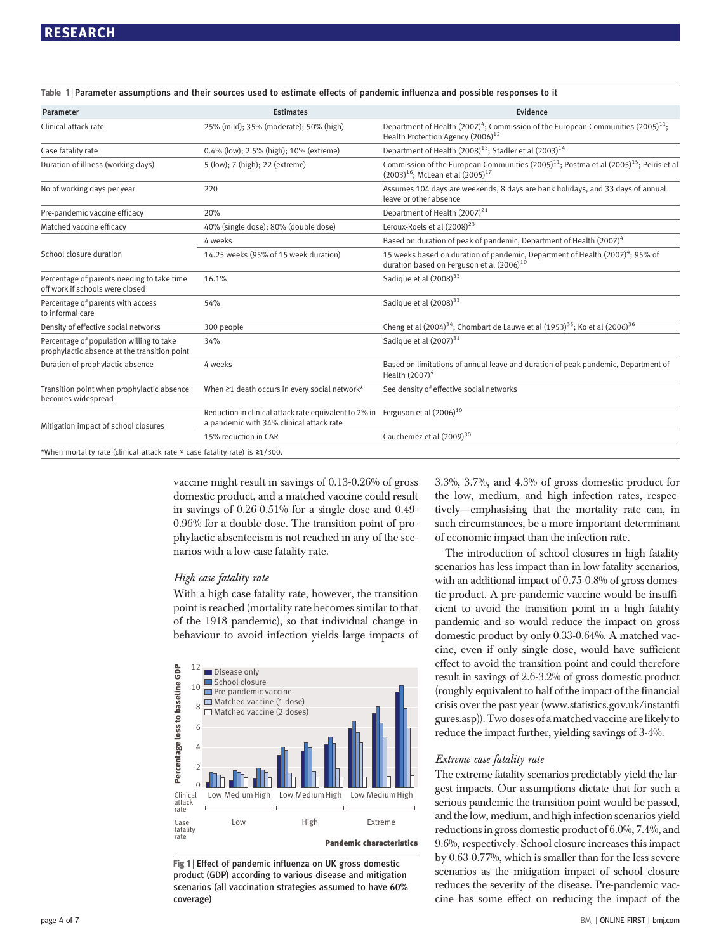| Parameter                                                                                | <b>Estimates</b>                                                                                                               | Evidence                                                                                                                                                  |  |  |
|------------------------------------------------------------------------------------------|--------------------------------------------------------------------------------------------------------------------------------|-----------------------------------------------------------------------------------------------------------------------------------------------------------|--|--|
| Clinical attack rate                                                                     | 25% (mild); 35% (moderate); 50% (high)                                                                                         | Department of Health (2007) <sup>4</sup> ; Commission of the European Communities (2005) <sup>11</sup> ;<br>Health Protection Agency (2006) <sup>12</sup> |  |  |
| Case fatality rate                                                                       | 0.4% (low); 2.5% (high); 10% (extreme)                                                                                         | Department of Health (2008) <sup>13</sup> ; Stadler et al (2003) <sup>14</sup>                                                                            |  |  |
| Duration of illness (working days)                                                       | 5 (low); 7 (high); 22 (extreme)                                                                                                | Commission of the European Communities $(2005)^{11}$ ; Postma et al $(2005)^{15}$ ; Peiris et al<br>$(2003)^{16}$ : McLean et al $(2005)^{17}$            |  |  |
| No of working days per year                                                              | 220                                                                                                                            | Assumes 104 days are weekends, 8 days are bank holidays, and 33 days of annual<br>leave or other absence                                                  |  |  |
| Pre-pandemic vaccine efficacy                                                            | 20%                                                                                                                            | Department of Health (2007) <sup>21</sup>                                                                                                                 |  |  |
| Matched vaccine efficacy                                                                 | 40% (single dose); 80% (double dose)                                                                                           | Leroux-Roels et al (2008) <sup>23</sup>                                                                                                                   |  |  |
|                                                                                          | 4 weeks                                                                                                                        | Based on duration of peak of pandemic, Department of Health (2007) <sup>4</sup>                                                                           |  |  |
| School closure duration                                                                  | 14.25 weeks (95% of 15 week duration)                                                                                          | 15 weeks based on duration of pandemic, Department of Health (2007) <sup>4</sup> ; 95% of<br>duration based on Ferguson et al (2006) <sup>10</sup>        |  |  |
| Percentage of parents needing to take time<br>off work if schools were closed            | 16.1%                                                                                                                          | Sadique et al (2008) <sup>33</sup>                                                                                                                        |  |  |
| Percentage of parents with access<br>to informal care                                    | 54%                                                                                                                            | Sadique et al (2008) <sup>33</sup>                                                                                                                        |  |  |
| Density of effective social networks                                                     | 300 people                                                                                                                     | Cheng et al $(2004)^{34}$ ; Chombart de Lauwe et al $(1953)^{35}$ ; Ko et al $(2006)^{36}$                                                                |  |  |
| Percentage of population willing to take<br>prophylactic absence at the transition point | 34%                                                                                                                            | Sadique et al $(2007)^{31}$                                                                                                                               |  |  |
| Duration of prophylactic absence                                                         | 4 weeks                                                                                                                        | Based on limitations of annual leave and duration of peak pandemic, Department of<br>Health $(2007)^4$                                                    |  |  |
| Transition point when prophylactic absence<br>becomes widespread                         | When ≥1 death occurs in every social network*                                                                                  | See density of effective social networks                                                                                                                  |  |  |
| Mitigation impact of school closures                                                     | Reduction in clinical attack rate equivalent to 2% in Ferguson et al $(2006)^{10}$<br>a pandemic with 34% clinical attack rate |                                                                                                                                                           |  |  |
|                                                                                          | 15% reduction in CAR                                                                                                           | Cauchemez et al (2009) <sup>30</sup>                                                                                                                      |  |  |
| *When mortality rate (clinical attack rate × case fatality rate) is ≥1/300.              |                                                                                                                                |                                                                                                                                                           |  |  |

Table 1 <sup>|</sup> Parameter assumptions and their sources used to estimate effects of pandemic influenza and possible responses to it

vaccine might result in savings of 0.13-0.26% of gross domestic product, and a matched vaccine could result in savings of 0.26-0.51% for a single dose and 0.49- 0.96% for a double dose. The transition point of prophylactic absenteeism is not reached in any of the scenarios with a low case fatality rate.

With a high case fatality rate, however, the transition point is reached (mortality rate becomes similar to that of the 1918 pandemic), so that individual change in behaviour to avoid infection yields large impacts of



Fig 1 | Effect of pandemic influenza on UK gross domestic product (GDP) according to various disease and mitigation scenarios (all vaccination strategies assumed to have 60% coverage)

3.3%, 3.7%, and 4.3% of gross domestic product for the low, medium, and high infection rates, respectively—emphasising that the mortality rate can, in such circumstances, be a more important determinant of economic impact than the infection rate.

The introduction of school closures in high fatality scenarios has less impact than in low fatality scenarios, with an additional impact of 0.75-0.8% of gross domestic product. A pre-pandemic vaccine would be insufficient to avoid the transition point in a high fatality pandemic and so would reduce the impact on gross domestic product by only 0.33-0.64%. A matched vaccine, even if only single dose, would have sufficient effect to avoid the transition point and could therefore result in savings of 2.6-3.2% of gross domestic product (roughly equivalent to half of the impact of the financial crisis over the past year (www.statistics.gov.uk/instantfi gures.asp)). Two doses of a matched vaccine are likelyto reduce the impact further, yielding savings of 3-4%.

Extreme case fatality rate The extreme fatality scenarios predictably yield the largest impacts. Our assumptions dictate that for such a serious pandemic the transition point would be passed, and the low, medium, and high infection scenarios yield reductions in gross domestic product of 6.0%, 7.4%, and 9.6%, respectively. School closure increases this impact by 0.63-0.77%, which is smaller than for the less severe scenarios as the mitigation impact of school closure reduces the severity of the disease. Pre-pandemic vaccine has some effect on reducing the impact of the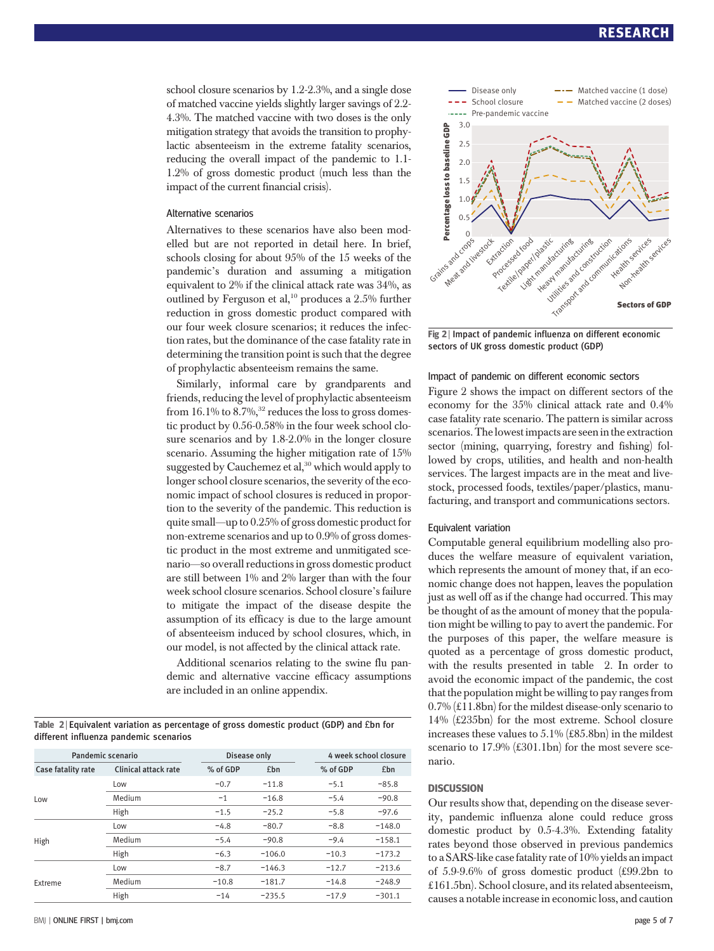school closure scenarios by 1.2-2.3%, and a single dose of matched vaccine yields slightly larger savings of 2.2- 4.3%. The matched vaccine with two doses is the only mitigation strategy that avoids the transition to prophylactic absenteeism in the extreme fatality scenarios, reducing the overall impact of the pandemic to 1.1- 1.2% of gross domestic product (much less than the impact of the current financial crisis).

# Alternative scenarios

Alternatives to these scenarios have also been modelled but are not reported in detail here. In brief, schools closing for about 95% of the 15 weeks of the pandemic's duration and assuming a mitigation equivalent to 2% if the clinical attack rate was 34%, as outlined by Ferguson et al,<sup>10</sup> produces a 2.5% further reduction in gross domestic product compared with our four week closure scenarios; it reduces the infection rates, but the dominance of the case fatality rate in determining the transition point is such that the degree of prophylactic absenteeism remains the same.

Similarly, informal care by grandparents and friends, reducing the level of prophylactic absenteeism from  $16.1\%$  to  $8.7\%$ ,<sup>32</sup> reduces the loss to gross domestic product by 0.56-0.58% in the four week school closure scenarios and by 1.8-2.0% in the longer closure scenario. Assuming the higher mitigation rate of 15% suggested by Cauchemez et al,<sup>30</sup> which would apply to longer school closure scenarios, the severity of the economic impact of school closures is reduced in proportion to the severity of the pandemic. This reduction is quite small—up to 0.25% of gross domestic product for non-extreme scenarios and up to 0.9% of gross domestic product in the most extreme and unmitigated scenario—so overall reductions in gross domestic product are still between 1% and 2% larger than with the four week school closure scenarios. School closure's failure to mitigate the impact of the disease despite the assumption of its efficacy is due to the large amount of absenteeism induced by school closures, which, in our model, is not affected by the clinical attack rate.

Additional scenarios relating to the swine flu pandemic and alternative vaccine efficacy assumptions are included in an online appendix.

Table 2 | Equivalent variation as percentage of gross domestic product (GDP) and £bn for different influenza pandemic scenarios

| Pandemic scenario  |                             | Disease only |          | 4 week school closure |          |
|--------------------|-----------------------------|--------------|----------|-----------------------|----------|
| Case fatality rate | <b>Clinical attack rate</b> | % of GDP     | £bn      | % of GDP              | £bn      |
| Low                | Low                         | $-0.7$       | $-11.8$  | $-5.1$                | $-85.8$  |
|                    | Medium                      | $-1$         | $-16.8$  | $-5.4$                | $-90.8$  |
|                    | High                        | $-1.5$       | $-25.2$  | $-5.8$                | $-97.6$  |
| High               | Low                         | $-4.8$       | $-80.7$  | $-8.8$                | $-148.0$ |
|                    | Medium                      | $-5.4$       | $-90.8$  | $-9.4$                | $-158.1$ |
|                    | High                        | $-6.3$       | $-106.0$ | $-10.3$               | $-173.2$ |
| Extreme            | Low                         | $-8.7$       | $-146.3$ | $-12.7$               | $-213.6$ |
|                    | Medium                      | $-10.8$      | $-181.7$ | $-14.8$               | $-248.9$ |
|                    | High                        | $-14$        | $-235.5$ | $-17.9$               | $-301.1$ |



Fig 2 | Impact of pandemic influenza on different economic sectors of UK gross domestic product (GDP)

# Impact of pandemic on different economic sectors

Figure 2 shows the impact on different sectors of the economy for the 35% clinical attack rate and 0.4% case fatality rate scenario. The pattern is similar across scenarios. The lowest impacts are seen in the extraction sector (mining, quarrying, forestry and fishing) followed by crops, utilities, and health and non-health services. The largest impacts are in the meat and livestock, processed foods, textiles/paper/plastics, manufacturing, and transport and communications sectors.

# Equivalent variation

Computable general equilibrium modelling also produces the welfare measure of equivalent variation, which represents the amount of money that, if an economic change does not happen, leaves the population just as well off as if the change had occurred. This may be thought of as the amount of money that the population might be willing to pay to avert the pandemic. For the purposes of this paper, the welfare measure is quoted as a percentage of gross domestic product, with the results presented in table 2. In order to avoid the economic impact of the pandemic, the cost that the population might be willing to pay ranges from 0.7% (£11.8bn) for the mildest disease-only scenario to 14% (£235bn) for the most extreme. School closure increases these values to 5.1% (£85.8bn) in the mildest scenario to 17.9% (£301.1bn) for the most severe scenario.

Our results show that, depending on the disease severity, pandemic influenza alone could reduce gross domestic product by 0.5-4.3%. Extending fatality rates beyond those observed in previous pandemics to a SARS-like case fatality rate of 10% yields an impact of 5.9-9.6% of gross domestic product (£99.2bn to £161.5bn). School closure, and its related absenteeism, causes a notable increase in economic loss, and caution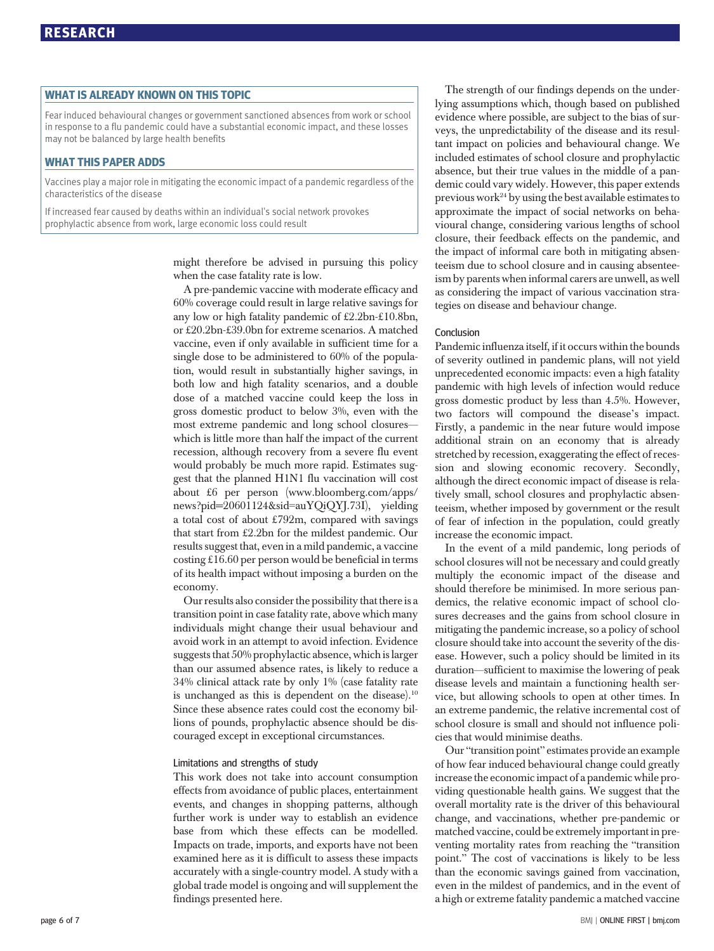Fear induced behavioural changes or government sanctioned absences from work or school in response to a flu pandemic could have a substantial economic impact, and these losses may not be balanced by large health benefits

# WHAT THIS PAPER ADDS

Vaccines play a major role in mitigating the economic impact of a pandemic regardless of the characteristics of the disease

If increased fear caused by deaths within an individual's social network provokes prophylactic absence from work, large economic loss could result

> might therefore be advised in pursuing this policy when the case fatality rate is low.

A pre-pandemic vaccine with moderate efficacy and 60% coverage could result in large relative savings for any low or high fatality pandemic of £2.2bn-£10.8bn, or £20.2bn-£39.0bn for extreme scenarios. A matched vaccine, even if only available in sufficient time for a single dose to be administered to 60% of the population, would result in substantially higher savings, in both low and high fatality scenarios, and a double dose of a matched vaccine could keep the loss in gross domestic product to below 3%, even with the most extreme pandemic and long school closures which is little more than half the impact of the current recession, although recovery from a severe flu event would probably be much more rapid. Estimates suggest that the planned H1N1 flu vaccination will cost about £6 per person (www.bloomberg.com/apps/ news?pid=20601124&sid=auYQiQYJ.73I), yielding a total cost of about £792m, compared with savings that start from £2.2bn for the mildest pandemic. Our results suggest that, even in a mild pandemic, a vaccine costing £16.60 per person would be beneficial in terms of its health impact without imposing a burden on the economy.

Our results also consider the possibility that there is a transition point in case fatality rate, above which many individuals might change their usual behaviour and avoid work in an attempt to avoid infection. Evidence suggests that 50% prophylactic absence, which is larger than our assumed absence rates, is likely to reduce a 34% clinical attack rate by only 1% (case fatality rate is unchanged as this is dependent on the disease).<sup>10</sup> Since these absence rates could cost the economy billions of pounds, prophylactic absence should be discouraged except in exceptional circumstances.

# Limitations and strengths of study

This work does not take into account consumption effects from avoidance of public places, entertainment events, and changes in shopping patterns, although further work is under way to establish an evidence base from which these effects can be modelled. Impacts on trade, imports, and exports have not been examined here as it is difficult to assess these impacts accurately with a single-country model. A study with a global trade model is ongoing and will supplement the findings presented here.

The strength of our findings depends on the underlying assumptions which, though based on published evidence where possible, are subject to the bias of surveys, the unpredictability of the disease and its resultant impact on policies and behavioural change. We included estimates of school closure and prophylactic absence, but their true values in the middle of a pandemic could vary widely. However, this paper extends previous work<sup>24</sup> by using the best available estimates to approximate the impact of social networks on behavioural change, considering various lengths of school closure, their feedback effects on the pandemic, and the impact of informal care both in mitigating absenteeism due to school closure and in causing absenteeism by parents when informal carers are unwell, as well as considering the impact of various vaccination strategies on disease and behaviour change.

# Conclusion

Pandemic influenza itself, if it occurs within the bounds of severity outlined in pandemic plans, will not yield unprecedented economic impacts: even a high fatality pandemic with high levels of infection would reduce gross domestic product by less than 4.5%. However, two factors will compound the disease's impact. Firstly, a pandemic in the near future would impose additional strain on an economy that is already stretched by recession, exaggerating the effect of recession and slowing economic recovery. Secondly, although the direct economic impact of disease is relatively small, school closures and prophylactic absenteeism, whether imposed by government or the result of fear of infection in the population, could greatly increase the economic impact.

In the event of a mild pandemic, long periods of school closures will not be necessary and could greatly multiply the economic impact of the disease and should therefore be minimised. In more serious pandemics, the relative economic impact of school closures decreases and the gains from school closure in mitigating the pandemic increase, so a policy of school closure should take into account the severity of the disease. However, such a policy should be limited in its duration—sufficient to maximise the lowering of peak disease levels and maintain a functioning health service, but allowing schools to open at other times. In an extreme pandemic, the relative incremental cost of school closure is small and should not influence policies that would minimise deaths.

Our "transition point" estimates provide an example of how fear induced behavioural change could greatly increase the economic impact of a pandemic while providing questionable health gains. We suggest that the overall mortality rate is the driver of this behavioural change, and vaccinations, whether pre-pandemic or matched vaccine, could be extremely important in preventing mortality rates from reaching the "transition point." The cost of vaccinations is likely to be less than the economic savings gained from vaccination, even in the mildest of pandemics, and in the event of a high or extreme fatality pandemic a matched vaccine